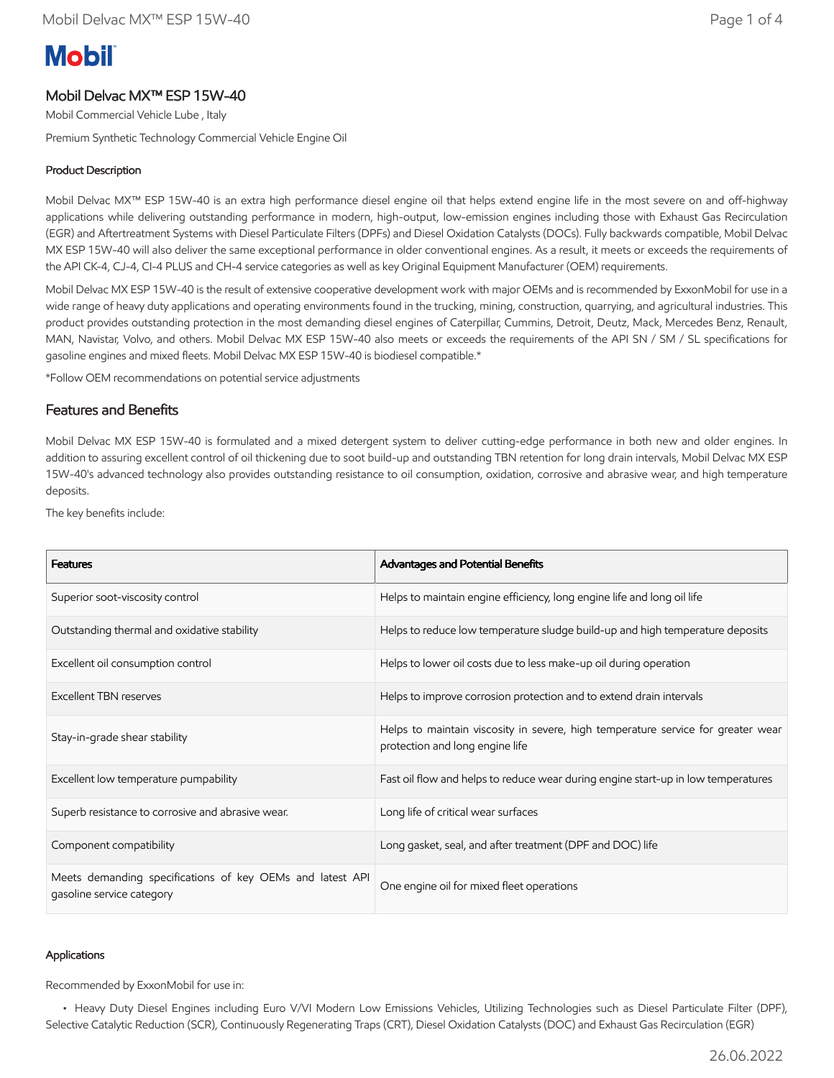# **Mobil**

# Mobil Delvac MX™ ESP 15W-40

Mobil Commercial Vehicle Lube , Italy

Premium Synthetic Technology Commercial Vehicle Engine Oil

# Product Description

Mobil Delvac MX™ ESP 15W-40 is an extra high performance diesel engine oil that helps extend engine life in the most severe on and off-highway applications while delivering outstanding performance in modern, high-output, low-emission engines including those with Exhaust Gas Recirculation (EGR) and Aftertreatment Systems with Diesel Particulate Filters (DPFs) and Diesel Oxidation Catalysts (DOCs). Fully backwards compatible, Mobil Delvac MX ESP 15W-40 will also deliver the same exceptional performance in older conventional engines. As a result, it meets or exceeds the requirements of the API CK-4, CJ-4, CI-4 PLUS and CH-4 service categories as well as key Original Equipment Manufacturer (OEM) requirements.

Mobil Delvac MX ESP 15W-40 is the result of extensive cooperative development work with major OEMs and is recommended by ExxonMobil for use in a wide range of heavy duty applications and operating environments found in the trucking, mining, construction, quarrying, and agricultural industries. This product provides outstanding protection in the most demanding diesel engines of Caterpillar, Cummins, Detroit, Deutz, Mack, Mercedes Benz, Renault, MAN, Navistar, Volvo, and others. Mobil Delvac MX ESP 15W-40 also meets or exceeds the requirements of the API SN / SM / SL specifications for gasoline engines and mixed fleets. Mobil Delvac MX ESP 15W-40 is biodiesel compatible.\*

\*Follow OEM recommendations on potential service adjustments

## Features and Benefits

Mobil Delvac MX ESP 15W-40 is formulated and a mixed detergent system to deliver cutting-edge performance in both new and older engines. In addition to assuring excellent control of oil thickening due to soot build-up and outstanding TBN retention for long drain intervals, Mobil Delvac MX ESP 15W-40's advanced technology also provides outstanding resistance to oil consumption, oxidation, corrosive and abrasive wear, and high temperature deposits.

The key benefits include:

| <b>Features</b>                                                                        | Advantages and Potential Benefits                                                                                   |
|----------------------------------------------------------------------------------------|---------------------------------------------------------------------------------------------------------------------|
| Superior soot-viscosity control                                                        | Helps to maintain engine efficiency, long engine life and long oil life                                             |
| Outstanding thermal and oxidative stability                                            | Helps to reduce low temperature sludge build-up and high temperature deposits                                       |
| Excellent oil consumption control                                                      | Helps to lower oil costs due to less make-up oil during operation                                                   |
| <b>Excellent TBN reserves</b>                                                          | Helps to improve corrosion protection and to extend drain intervals                                                 |
| Stay-in-grade shear stability                                                          | Helps to maintain viscosity in severe, high temperature service for greater wear<br>protection and long engine life |
| Excellent low temperature pumpability                                                  | Fast oil flow and helps to reduce wear during engine start-up in low temperatures                                   |
| Superb resistance to corrosive and abrasive wear.                                      | Long life of critical wear surfaces                                                                                 |
| Component compatibility                                                                | Long gasket, seal, and after treatment (DPF and DOC) life                                                           |
| Meets demanding specifications of key OEMs and latest API<br>gasoline service category | One engine oil for mixed fleet operations                                                                           |

#### Applications

Recommended by ExxonMobil for use in:

 • Heavy Duty Diesel Engines including Euro V/VI Modern Low Emissions Vehicles, Utilizing Technologies such as Diesel Particulate Filter (DPF), Selective Catalytic Reduction (SCR), Continuously Regenerating Traps (CRT), Diesel Oxidation Catalysts (DOC) and Exhaust Gas Recirculation (EGR)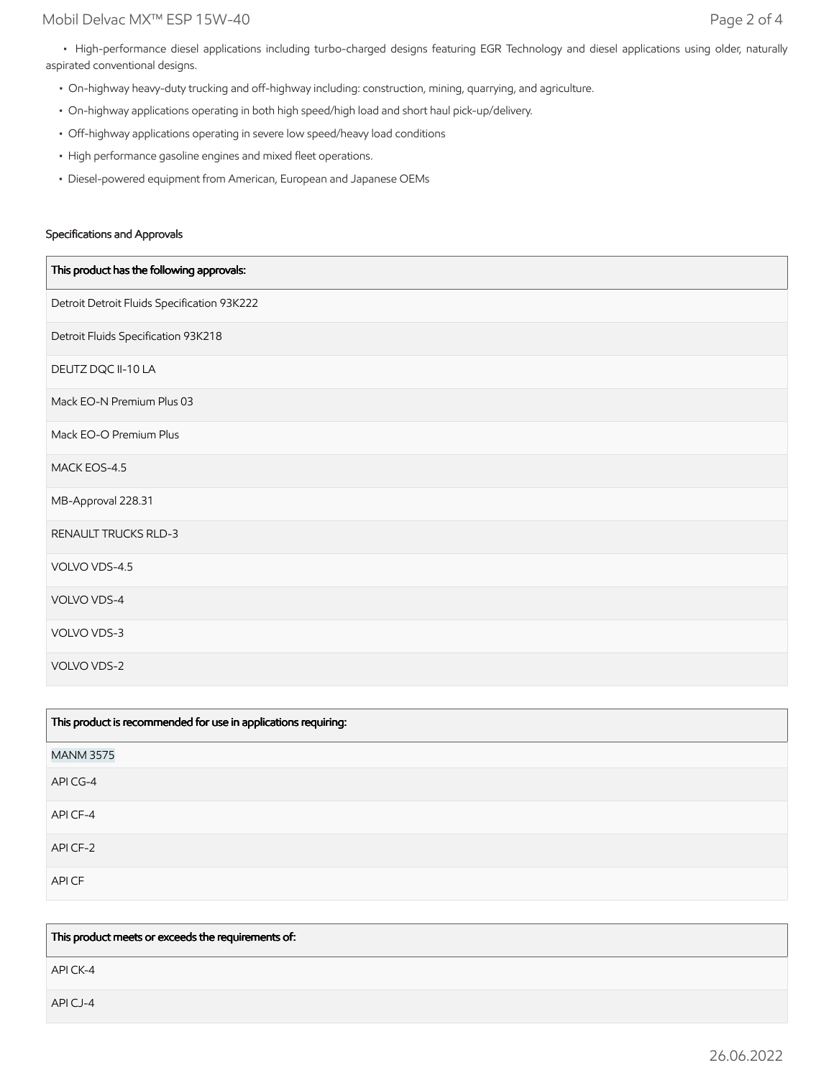• High-performance diesel applications including turbo-charged designs featuring EGR Technology and diesel applications using older, naturally aspirated conventional designs.

- On-highway heavy-duty trucking and off-highway including: construction, mining, quarrying, and agriculture.
- On-highway applications operating in both high speed/high load and short haul pick-up/delivery.
- Off-highway applications operating in severe low speed/heavy load conditions
- High performance gasoline engines and mixed fleet operations.
- Diesel-powered equipment from American, European and Japanese OEMs

#### Specifications and Approvals

| This product has the following approvals:   |
|---------------------------------------------|
| Detroit Detroit Fluids Specification 93K222 |
| Detroit Fluids Specification 93K218         |
| DEUTZ DQC II-10 LA                          |
| Mack EO-N Premium Plus 03                   |
| Mack EO-O Premium Plus                      |
| MACK EOS-4.5                                |
| MB-Approval 228.31                          |
| RENAULT TRUCKS RLD-3                        |
| VOLVO VDS-4.5                               |
| VOLVO VDS-4                                 |
| VOLVO VDS-3                                 |
| VOLVO VDS-2                                 |

| This product is recommended for use in applications requiring: |
|----------------------------------------------------------------|
| <b>MANM 3575</b>                                               |
| API CG-4                                                       |
| API CF-4                                                       |
| API CF-2                                                       |
| API CF                                                         |

This product meets or exceeds the requirements of:

API CK-4

API CJ-4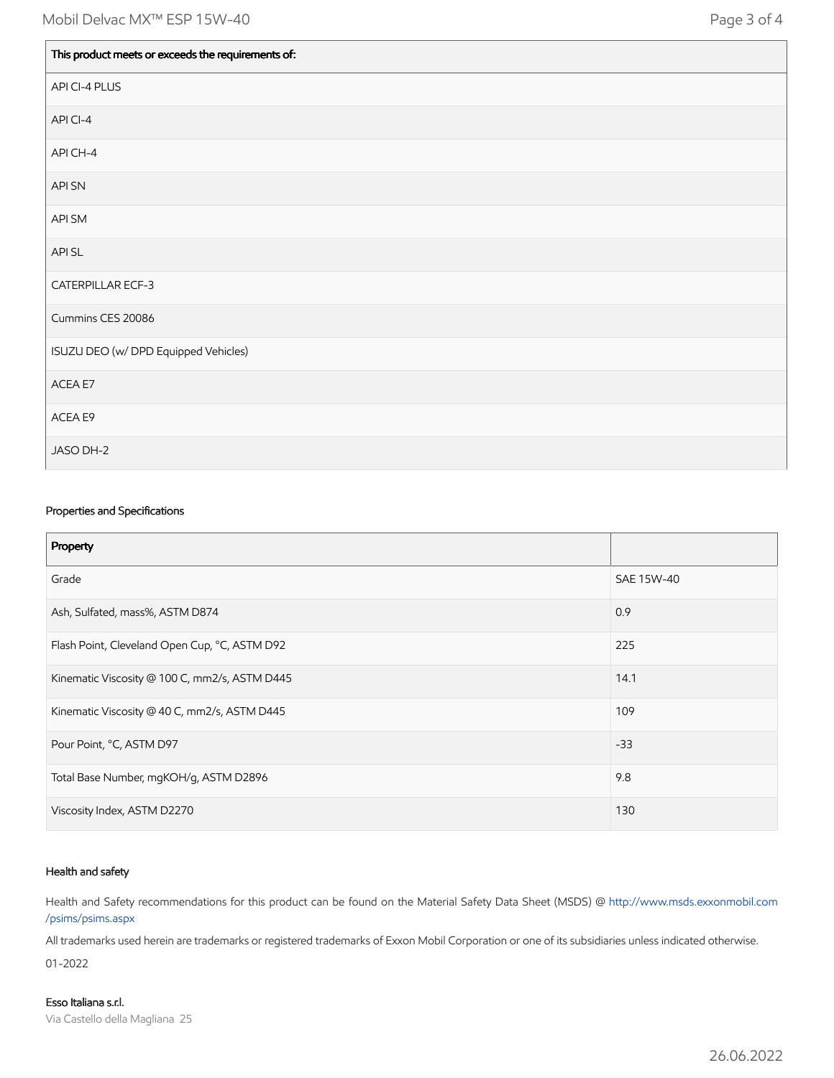| This product meets or exceeds the requirements of: |
|----------------------------------------------------|
| API CI-4 PLUS                                      |
| API CI-4                                           |
| API CH-4                                           |
| <b>API SN</b>                                      |
| API SM                                             |
| API SL                                             |
| CATERPILLAR ECF-3                                  |
| Cummins CES 20086                                  |
| ISUZU DEO (w/ DPD Equipped Vehicles)               |
| ACEA E7                                            |
| ACEA E9                                            |
| JASO DH-2                                          |

#### Properties and Specifications

| Property                                      |            |
|-----------------------------------------------|------------|
| Grade                                         | SAE 15W-40 |
| Ash, Sulfated, mass%, ASTM D874               | 0.9        |
| Flash Point, Cleveland Open Cup, °C, ASTM D92 | 225        |
| Kinematic Viscosity @ 100 C, mm2/s, ASTM D445 | 14.1       |
| Kinematic Viscosity @ 40 C, mm2/s, ASTM D445  | 109        |
| Pour Point, °C, ASTM D97                      | $-33$      |
| Total Base Number, mgKOH/g, ASTM D2896        | 9.8        |
| Viscosity Index, ASTM D2270                   | 130        |

#### Health and safety

Health and Safety recommendations for this product can be found on the Material Safety Data Sheet (MSDS) @ [http://www.msds.exxonmobil.com](http://www.msds.exxonmobil.com/psims/psims.aspx) /psims/psims.aspx

All trademarks used herein are trademarks or registered trademarks of Exxon Mobil Corporation or one of its subsidiaries unless indicated otherwise. 01-2022

Esso Italiana s.r.l. Via Castello della Magliana 25